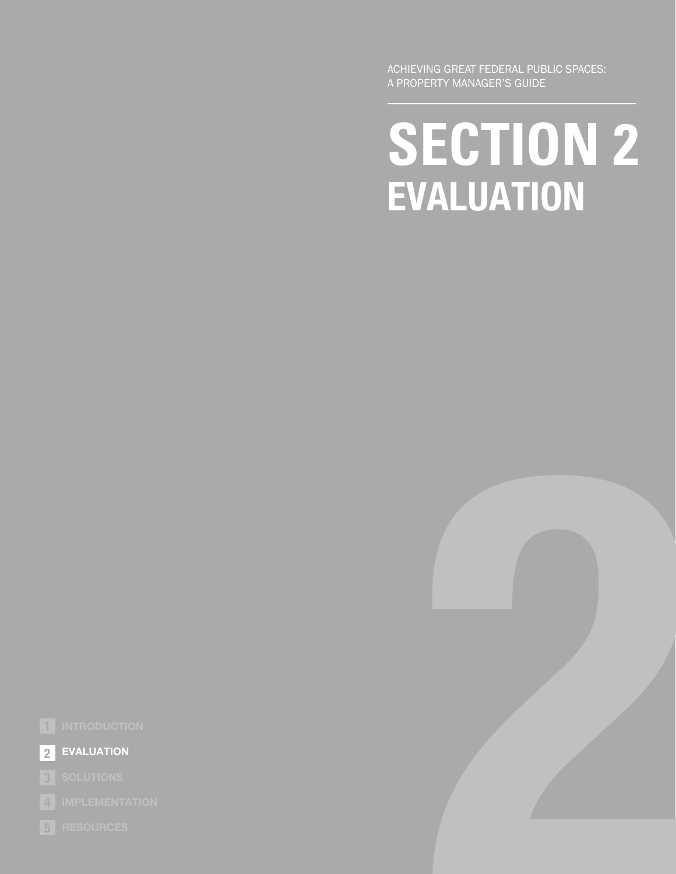ACHIEVING GREAT FEDERAL PUBLIC SPACES: A PROPERTY MANAGER'S GUIDE

## **SECTION 2 EVALUATION**

**2**



**EVALUATION 2**

**IMPLEMENTATION 4**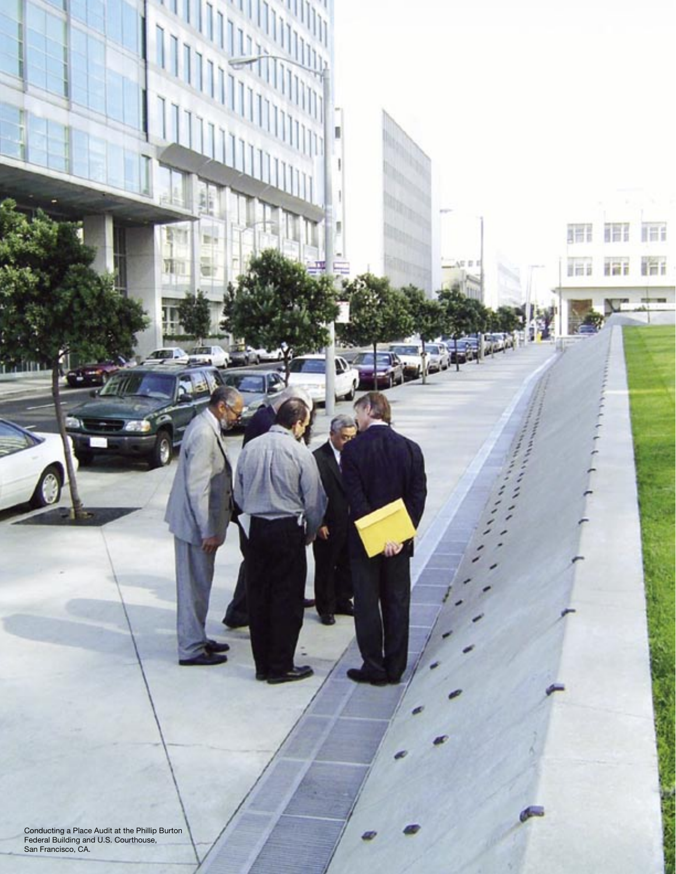and U.S. Courthouse, **Achieving and Separat Federal Public Spaces**: A Property Manager's Spaces: A Property Manager's Guide Spaces: A Property of the Spaces: A Property of the Spaces: A Property of the Spaces: A Property o **PLACE AUDIT CONTRACT AUDIT CONTRACT AUDIT CONTRACT AUDIT CONTRACT AUDIT CONTRACT AUDIT CONTRACT AUDIT CONTRACT AUDIT CONTRACT AUDIT CONTRACT AUDIT CONTRACT AUDIT CONTRACT AUDIT CONTRACT AUDIT CONTRACT AUDIT CONTRACT AUDIT** Conducting a Place Audit at the Phillip Burton Federal Building and U.S. Courthouse, San Francisco, CA.

**2**

開面

Häi

Ħ

B

扁

ini

ff.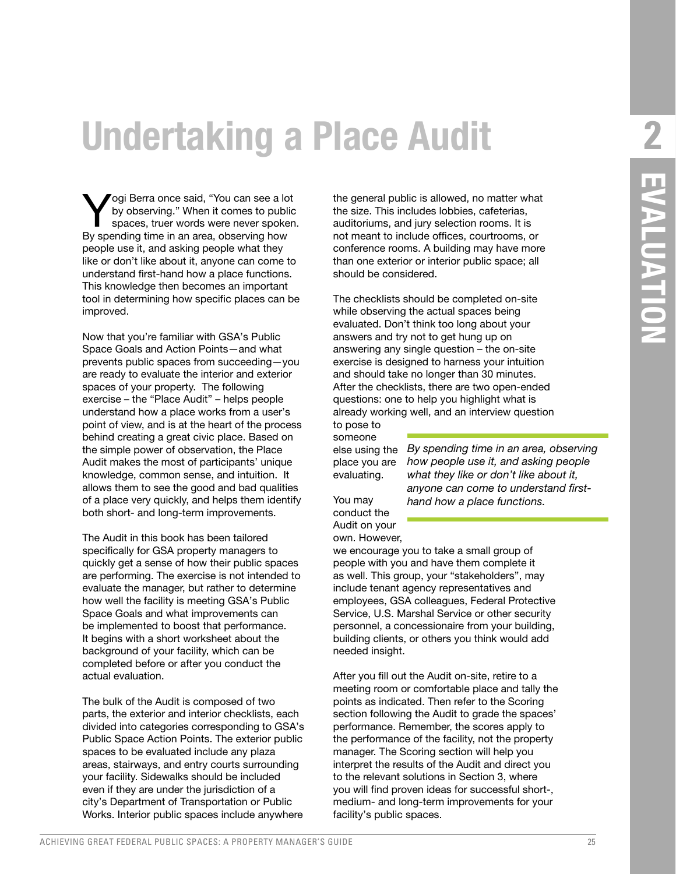### **Undertaking a Place Audit**

Yogi Berra once said, "You can see a lot<br>by observing." When it comes to public<br>spaces, truer words were never spoken by observing." When it comes to public spaces, truer words were never spoken. By spending time in an area, observing how people use it, and asking people what they like or don't like about it, anyone can come to understand first-hand how a place functions. This knowledge then becomes an important tool in determining how specific places can be improved.

Now that you're familiar with GSA's Public Space Goals and Action Points—and what prevents public spaces from succeeding—you are ready to evaluate the interior and exterior spaces of your property. The following exercise – the "Place Audit" – helps people understand how a place works from a user's point of view, and is at the heart of the process behind creating a great civic place. Based on the simple power of observation, the Place Audit makes the most of participants' unique knowledge, common sense, and intuition. It allows them to see the good and bad qualities of a place very quickly, and helps them identify both short- and long-term improvements.

The Audit in this book has been tailored specifically for GSA property managers to quickly get a sense of how their public spaces are performing. The exercise is not intended to evaluate the manager, but rather to determine how well the facility is meeting GSA's Public Space Goals and what improvements can be implemented to boost that performance. It begins with a short worksheet about the background of your facility, which can be completed before or after you conduct the actual evaluation.

The bulk of the Audit is composed of two parts, the exterior and interior checklists, each divided into categories corresponding to GSA's Public Space Action Points. The exterior public spaces to be evaluated include any plaza areas, stairways, and entry courts surrounding your facility. Sidewalks should be included even if they are under the jurisdiction of a city's Department of Transportation or Public Works. Interior public spaces include anywhere

the general public is allowed, no matter what the size. This includes lobbies, cafeterias, auditoriums, and jury selection rooms. It is not meant to include offices, courtrooms, or conference rooms. A building may have more than one exterior or interior public space; all should be considered.

The checklists should be completed on-site while observing the actual spaces being evaluated. Don't think too long about your answers and try not to get hung up on answering any single question – the on-site exercise is designed to harness your intuition and should take no longer than 30 minutes. After the checklists, there are two open-ended questions: one to help you highlight what is already working well, and an interview question

to pose to someone else using the place you are evaluating.

*By spending time in an area, observing how people use it, and asking people what they like or don't like about it, anyone can come to understand firsthand how a place functions.* 

You may conduct the Audit on your own. However,

we encourage you to take a small group of people with you and have them complete it as well. This group, your "stakeholders", may include tenant agency representatives and employees, GSA colleagues, Federal Protective Service, U.S. Marshal Service or other security personnel, a concessionaire from your building, building clients, or others you think would add needed insight.

After you fill out the Audit on-site, retire to a meeting room or comfortable place and tally the points as indicated. Then refer to the Scoring section following the Audit to grade the spaces' performance. Remember, the scores apply to the performance of the facility, not the property manager. The Scoring section will help you interpret the results of the Audit and direct you to the relevant solutions in Section 3, where you will find proven ideas for successful short-, medium- and long-term improvements for your facility's public spaces.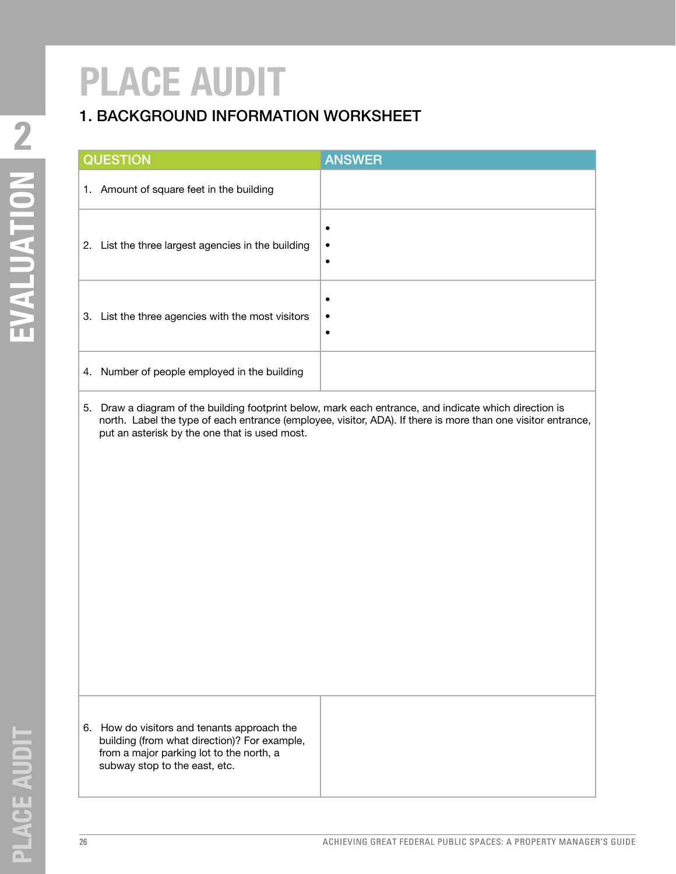### 1. BACKGROUND INFORMATION WORKSHEET

| <b>QUESTION</b>                                       | <b>ANSWER</b> |
|-------------------------------------------------------|---------------|
| Amount of square feet in the building<br>1.           |               |
| List the three largest agencies in the building<br>2. |               |
| List the three agencies with the most visitors<br>3.  | $\bullet$     |
| Number of people employed in the building<br>4.       |               |

5. Draw a diagram of the building footprint below, mark each entrance, and indicate which direction is north. Label the type of each entrance (employee, visitor, ADA). If there is more than one visitor entrance, put an asterisk by the one that is used most.

6. How do visitors and tenants approach the building (from what direction)? For example, from a major parking lot to the north, a subway stop to the east, etc.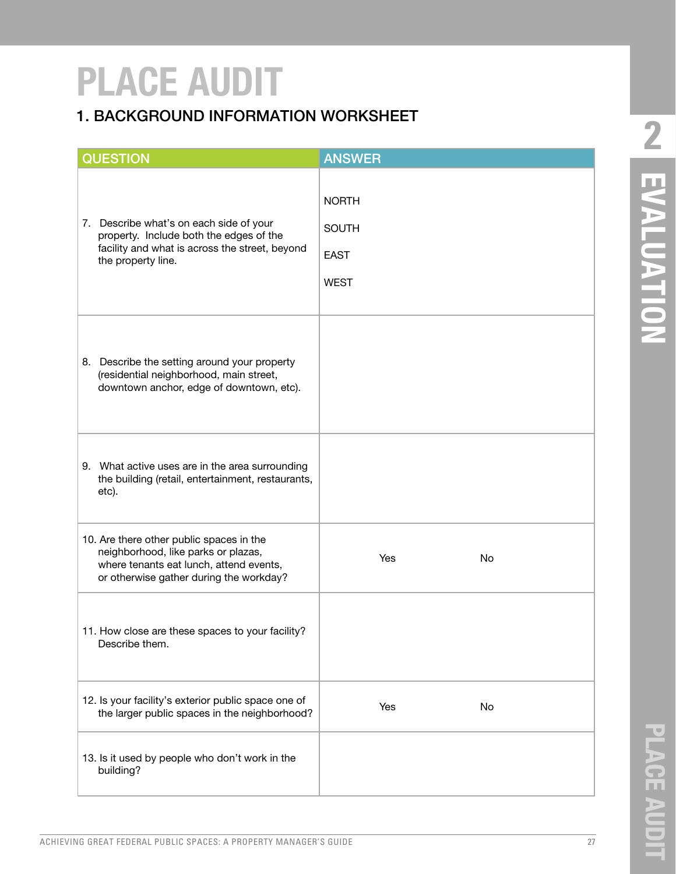### 1. BACKGROUND INFORMATION WORKSHEET

| <b>QUESTION</b>                                                                                                                                                       | <b>ANSWER</b>                                              |
|-----------------------------------------------------------------------------------------------------------------------------------------------------------------------|------------------------------------------------------------|
| 7. Describe what's on each side of your<br>property. Include both the edges of the<br>facility and what is across the street, beyond<br>the property line.            | <b>NORTH</b><br><b>SOUTH</b><br><b>EAST</b><br><b>WEST</b> |
| 8. Describe the setting around your property<br>(residential neighborhood, main street,<br>downtown anchor, edge of downtown, etc).                                   |                                                            |
| 9. What active uses are in the area surrounding<br>the building (retail, entertainment, restaurants,<br>etc).                                                         |                                                            |
| 10. Are there other public spaces in the<br>neighborhood, like parks or plazas,<br>where tenants eat lunch, attend events,<br>or otherwise gather during the workday? | No<br>Yes                                                  |
| 11. How close are these spaces to your facility?<br>Describe them.                                                                                                    |                                                            |
| 12. Is your facility's exterior public space one of<br>the larger public spaces in the neighborhood?                                                                  | Yes<br>No                                                  |
| 13. Is it used by people who don't work in the<br>building?                                                                                                           |                                                            |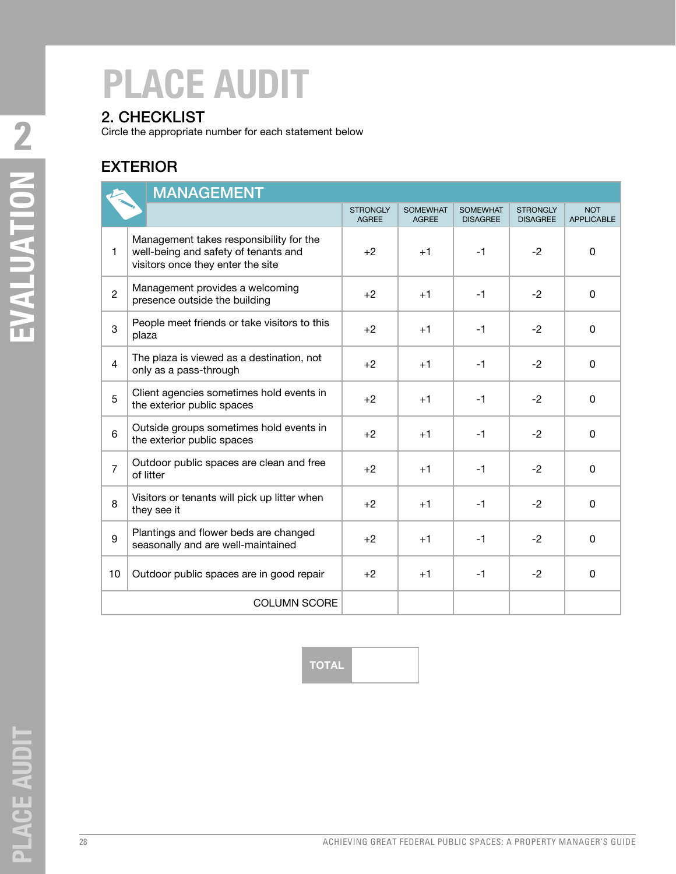### 2. CHECKLIST

Circle the appropriate number for each statement below

### EXTERIOR

| <b>MANAGEMENT</b>                                                                                                                    |                                                                             |                                 |                                 |                                    |                                    |                                 |
|--------------------------------------------------------------------------------------------------------------------------------------|-----------------------------------------------------------------------------|---------------------------------|---------------------------------|------------------------------------|------------------------------------|---------------------------------|
|                                                                                                                                      |                                                                             | <b>STRONGLY</b><br><b>AGREE</b> | <b>SOMEWHAT</b><br><b>AGREE</b> | <b>SOMEWHAT</b><br><b>DISAGREE</b> | <b>STRONGLY</b><br><b>DISAGREE</b> | <b>NOT</b><br><b>APPLICABLE</b> |
| Management takes responsibility for the<br>$\mathbf{1}$<br>well-being and safety of tenants and<br>visitors once they enter the site |                                                                             | $+2$                            | $+1$                            | $-1$                               | $-2$                               | 0                               |
| $\overline{2}$                                                                                                                       | Management provides a welcoming<br>presence outside the building            | $+2$                            | $+1$                            | $-1$                               | $-2$                               | 0                               |
| 3                                                                                                                                    | People meet friends or take visitors to this<br>plaza                       | $+2$                            | $+1$                            | $-1$                               | $-2$                               | 0                               |
| $\overline{4}$                                                                                                                       | The plaza is viewed as a destination, not<br>only as a pass-through         | $+2$                            | $+1$                            | $-1$                               | $-2$                               | 0                               |
| 5                                                                                                                                    | Client agencies sometimes hold events in<br>the exterior public spaces      | $+2$                            | $+1$                            | $-1$                               | $-2$                               | 0                               |
| 6                                                                                                                                    | Outside groups sometimes hold events in<br>the exterior public spaces       | $+2$                            | $+1$                            | $-1$                               | $-2$                               | $\Omega$                        |
| $\overline{7}$                                                                                                                       | Outdoor public spaces are clean and free<br>of litter                       | $+2$                            | $+1$                            | $-1$                               | $-2$                               | $\Omega$                        |
| 8                                                                                                                                    | Visitors or tenants will pick up litter when<br>they see it                 | $+2$                            | $+1$                            | $-1$                               | $-2$                               | 0                               |
| 9                                                                                                                                    | Plantings and flower beds are changed<br>seasonally and are well-maintained | $+2$                            | $+1$                            | $-1$                               | $-2$                               | $\mathbf 0$                     |
| 10                                                                                                                                   | Outdoor public spaces are in good repair                                    | $+2$                            | $+1$                            | $-1$                               | $-2$                               | $\Omega$                        |
|                                                                                                                                      | <b>COLUMN SCORE</b>                                                         |                                 |                                 |                                    |                                    |                                 |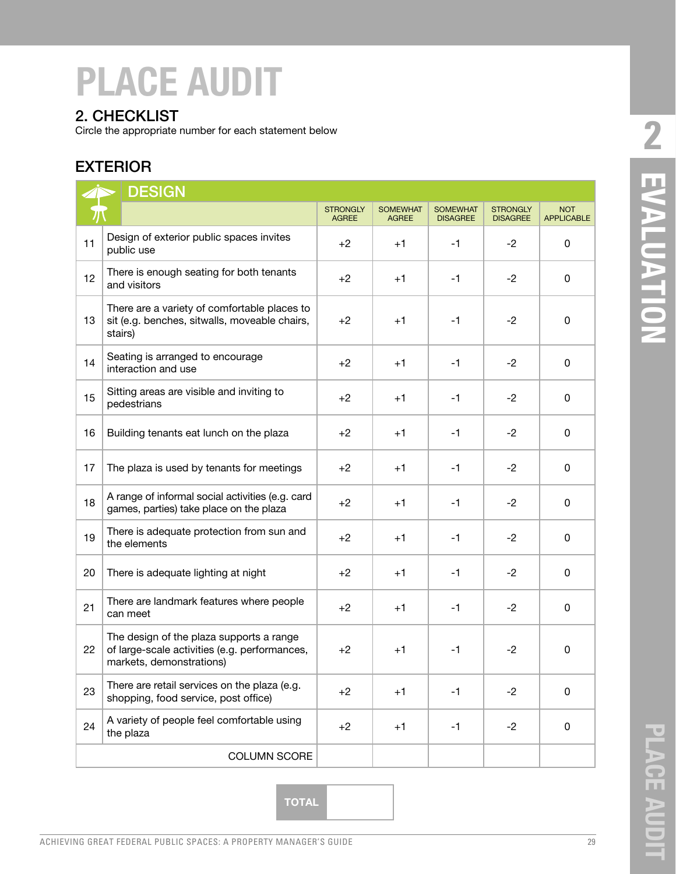#### 2. CHECKLIST

Circle the appropriate number for each statement below

### EXTERIOR

|    | <b>DESIGN</b>                                                                                                         |                                 |                                 |                                    |                                    |                                 |
|----|-----------------------------------------------------------------------------------------------------------------------|---------------------------------|---------------------------------|------------------------------------|------------------------------------|---------------------------------|
|    |                                                                                                                       | <b>STRONGLY</b><br><b>AGREE</b> | <b>SOMEWHAT</b><br><b>AGREE</b> | <b>SOMEWHAT</b><br><b>DISAGREE</b> | <b>STRONGLY</b><br><b>DISAGREE</b> | <b>NOT</b><br><b>APPLICABLE</b> |
| 11 | Design of exterior public spaces invites<br>public use                                                                | $+2$                            | $+1$                            | $-1$                               | $-2$                               | 0                               |
| 12 | There is enough seating for both tenants<br>and visitors                                                              | $+2$                            | $+1$                            | $-1$                               | $-2$                               | 0                               |
| 13 | There are a variety of comfortable places to<br>sit (e.g. benches, sitwalls, moveable chairs,<br>stairs)              | $+2$                            | $+1$                            | $-1$                               | $-2$                               | $\Omega$                        |
| 14 | Seating is arranged to encourage<br>interaction and use                                                               | $+2$                            | $+1$                            | $-1$                               | $-2$                               | 0                               |
| 15 | Sitting areas are visible and inviting to<br>pedestrians                                                              | $+2$                            | $+1$                            | $-1$                               | $-2$                               | 0                               |
| 16 | Building tenants eat lunch on the plaza                                                                               | $+2$                            | $+1$                            | $-1$                               | $-2$                               | $\Omega$                        |
| 17 | The plaza is used by tenants for meetings                                                                             | $+2$                            | $+1$                            | $-1$                               | $-2$                               | 0                               |
| 18 | A range of informal social activities (e.g. card<br>games, parties) take place on the plaza                           | $+2$                            | $+1$                            | $-1$                               | $-2$                               | $\Omega$                        |
| 19 | There is adequate protection from sun and<br>the elements                                                             | $+2$                            | $+1$                            | $-1$                               | $-2$                               | 0                               |
| 20 | There is adequate lighting at night                                                                                   | $+2$                            | $+1$                            | $-1$                               | $-2$                               | 0                               |
| 21 | There are landmark features where people<br>can meet                                                                  | $+2$                            | $+1$                            | $-1$                               | $-2$                               | 0                               |
| 22 | The design of the plaza supports a range<br>of large-scale activities (e.g. performances,<br>markets, demonstrations) | $+2$                            | $+1$                            | $-1$                               | $-2$                               | 0                               |
| 23 | There are retail services on the plaza (e.g.<br>shopping, food service, post office)                                  | $+2$                            | $+1$                            | $-1$                               | $-2$                               | 0                               |
| 24 | A variety of people feel comfortable using<br>the plaza                                                               | $+2$                            | $+1$                            | $-1$                               | $-2$                               | 0                               |
|    | COLUMN SCORE                                                                                                          |                                 |                                 |                                    |                                    |                                 |

**2** EVALUATION **PLACE AUDIT EVALUATION**

**TOTAL**

**PLACE AUDIT**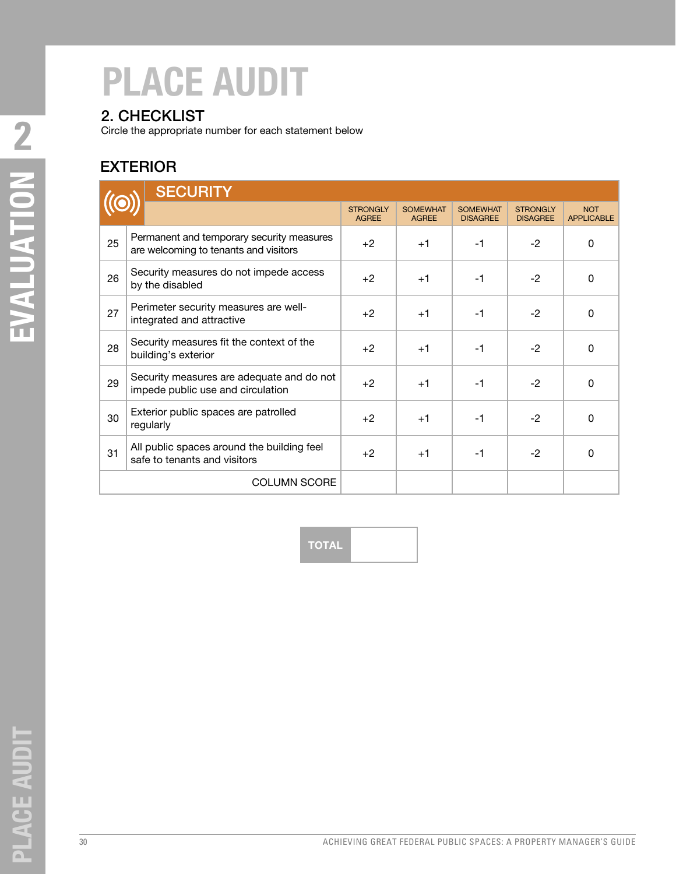### 2. CHECKLIST

Circle the appropriate number for each statement below

### EXTERIOR

|                                                                 | <b>SECURITY</b>                                                                    |                                 |                                 |                                    |                                    |                                 |
|-----------------------------------------------------------------|------------------------------------------------------------------------------------|---------------------------------|---------------------------------|------------------------------------|------------------------------------|---------------------------------|
|                                                                 |                                                                                    | <b>STRONGLY</b><br><b>AGREE</b> | <b>SOMEWHAT</b><br><b>AGREE</b> | <b>SOMEWHAT</b><br><b>DISAGREE</b> | <b>STRONGLY</b><br><b>DISAGREE</b> | <b>NOT</b><br><b>APPLICABLE</b> |
| 25                                                              | Permanent and temporary security measures<br>are welcoming to tenants and visitors | $+2$                            | $+1$                            | $-1$                               | $-2$                               | 0                               |
| Security measures do not impede access<br>26<br>by the disabled |                                                                                    | $+2$                            | $+1$                            | $-1$                               | $-2$                               | 0                               |
| 27                                                              | Perimeter security measures are well-<br>integrated and attractive                 | $+2$                            | $+1$                            | $-1$                               | $-2$                               | $\Omega$                        |
| 28                                                              | Security measures fit the context of the<br>building's exterior                    | $+2$                            | $+1$                            | $-1$                               | $-2$                               | $\Omega$                        |
| 29                                                              | Security measures are adequate and do not<br>impede public use and circulation     | $+2$                            | $+1$                            | $-1$                               | $-2$                               | $\Omega$                        |
| 30                                                              | Exterior public spaces are patrolled<br>regularly                                  | $+2$                            | $+1$                            | $-1$                               | $-2$                               | $\mathbf 0$                     |
| 31                                                              | All public spaces around the building feel<br>safe to tenants and visitors         | $+2$                            | $+1$                            | $-1$                               | $-2$                               | $\Omega$                        |
|                                                                 | <b>COLUMN SCORE</b>                                                                |                                 |                                 |                                    |                                    |                                 |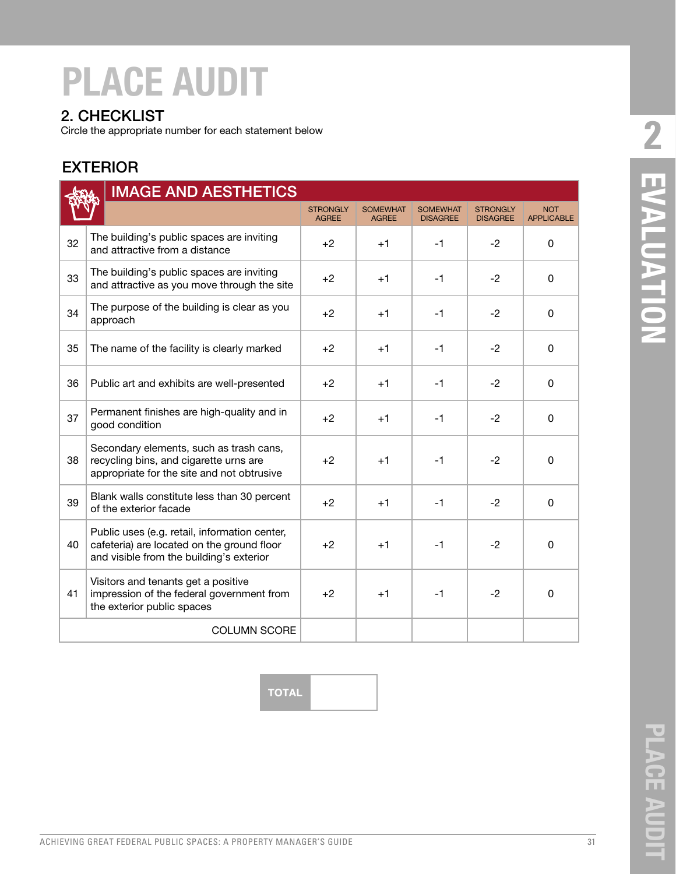#### 2. CHECKLIST

Circle the appropriate number for each statement below

#### EXTERIOR

| <b>IMAGE AND AESTHETICS</b> |  |                                                                                                                                         |                                 |                                 |                                    |                                    |                                 |
|-----------------------------|--|-----------------------------------------------------------------------------------------------------------------------------------------|---------------------------------|---------------------------------|------------------------------------|------------------------------------|---------------------------------|
|                             |  |                                                                                                                                         | <b>STRONGLY</b><br><b>AGREE</b> | <b>SOMEWHAT</b><br><b>AGREE</b> | <b>SOMEWHAT</b><br><b>DISAGREE</b> | <b>STRONGLY</b><br><b>DISAGREE</b> | <b>NOT</b><br><b>APPLICABLE</b> |
| 32                          |  | The building's public spaces are inviting<br>and attractive from a distance                                                             | $+2$                            | $+1$                            | $-1$                               | $-2$                               | 0                               |
| 33                          |  | The building's public spaces are inviting<br>and attractive as you move through the site                                                | $+2$                            | $+1$                            | $-1$                               | $-2$                               | 0                               |
| 34                          |  | The purpose of the building is clear as you<br>approach                                                                                 | $+2$                            | $+1$                            | $-1$                               | $-2$                               | 0                               |
| 35                          |  | The name of the facility is clearly marked                                                                                              | $+2$                            | $+1$                            | $-1$                               | $-2$                               | $\Omega$                        |
| 36                          |  | Public art and exhibits are well-presented                                                                                              | $+2$                            | $+1$                            | $-1$                               | $-2$                               | 0                               |
| 37                          |  | Permanent finishes are high-quality and in<br>good condition                                                                            | $+2$                            | $+1$                            | $-1$                               | $-2$                               | $\Omega$                        |
| 38                          |  | Secondary elements, such as trash cans,<br>recycling bins, and cigarette urns are<br>appropriate for the site and not obtrusive         | $+2$                            | $+1$                            | $-1$                               | $-2$                               | $\Omega$                        |
| 39                          |  | Blank walls constitute less than 30 percent<br>of the exterior facade                                                                   | $+2$                            | $+1$                            | $-1$                               | $-2$                               | $\Omega$                        |
| 40                          |  | Public uses (e.g. retail, information center,<br>cafeteria) are located on the ground floor<br>and visible from the building's exterior | $+2$                            | $+1$                            | $-1$                               | $-2$                               | $\Omega$                        |
| 41                          |  | Visitors and tenants get a positive<br>impression of the federal government from<br>the exterior public spaces                          | $+2$                            | $+1$                            | $-1$                               | $-2$                               | $\Omega$                        |
|                             |  | <b>COLUMN SCORE</b>                                                                                                                     |                                 |                                 |                                    |                                    |                                 |

**24 EVALDATION PLACE AUDIT EVALUATION**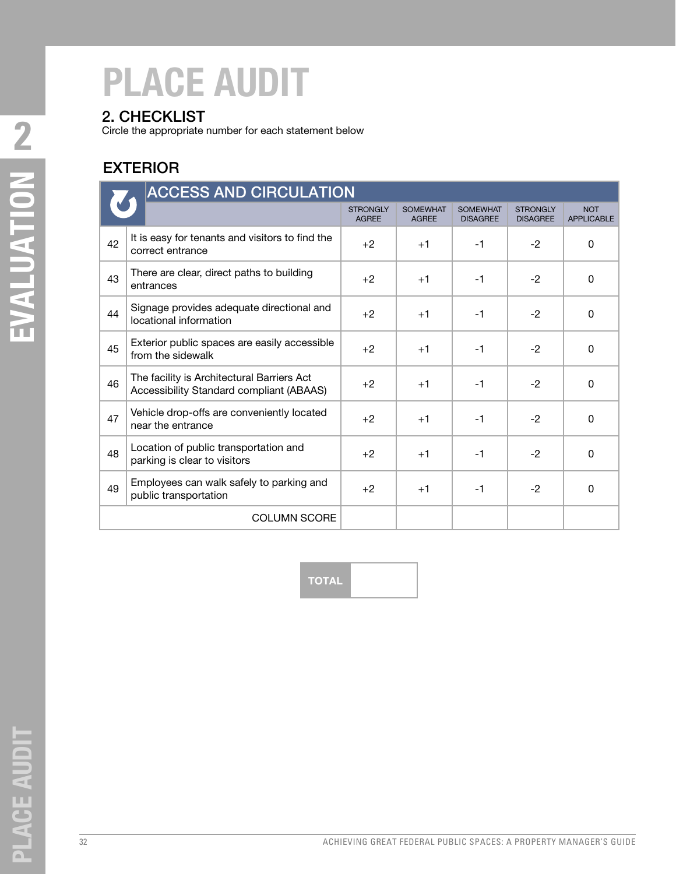### 2. CHECKLIST

Circle the appropriate number for each statement below

### EXTERIOR

|    | <b>ACCESS AND CIRCULATION</b>                                                          |                                 |                                 |                                    |                                    |                                 |
|----|----------------------------------------------------------------------------------------|---------------------------------|---------------------------------|------------------------------------|------------------------------------|---------------------------------|
|    |                                                                                        | <b>STRONGLY</b><br><b>AGREE</b> | <b>SOMEWHAT</b><br><b>AGREE</b> | <b>SOMEWHAT</b><br><b>DISAGREE</b> | <b>STRONGLY</b><br><b>DISAGREE</b> | <b>NOT</b><br><b>APPLICABLE</b> |
| 42 | It is easy for tenants and visitors to find the<br>correct entrance                    | $+2$                            | $+1$                            | $-1$                               | $-2$                               | 0                               |
| 43 | There are clear, direct paths to building<br>entrances                                 | $+2$                            | $+1$                            | $-1$                               | $-2$                               | $\Omega$                        |
| 44 | Signage provides adequate directional and<br>locational information                    | $+2$                            | $+1$                            | $-1$                               | $-2$                               | 0                               |
| 45 | Exterior public spaces are easily accessible<br>from the sidewalk                      | $+2$                            | $+1$                            | $-1$                               | $-2$                               | $\Omega$                        |
| 46 | The facility is Architectural Barriers Act<br>Accessibility Standard compliant (ABAAS) | $+2$                            | $+1$                            | $-1$                               | $-2$                               | 0                               |
| 47 | Vehicle drop-offs are conveniently located<br>near the entrance                        | $+2$                            | $+1$                            | $-1$                               | $-2$                               | 0                               |
| 48 | Location of public transportation and<br>parking is clear to visitors                  | $+2$                            | $+1$                            | $-1$                               | $-2$                               | $\Omega$                        |
| 49 | Employees can walk safely to parking and<br>public transportation                      | $+2$                            | $+1$                            | $-1$                               | $-2$                               | $\Omega$                        |
|    | <b>COLUMN SCORE</b>                                                                    |                                 |                                 |                                    |                                    |                                 |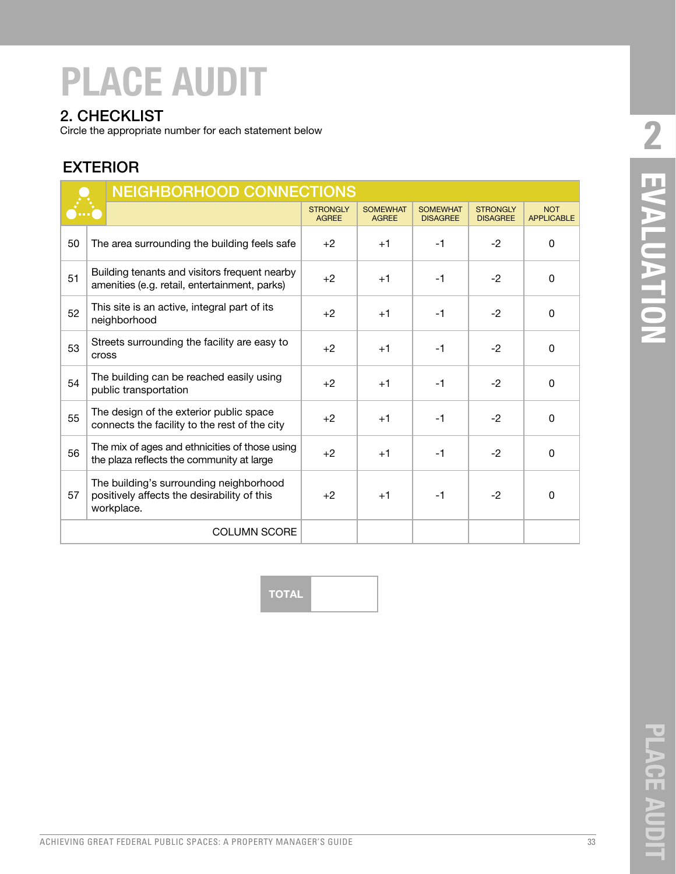#### 2. CHECKLIST

Circle the appropriate number for each statement below

#### EXTERIOR

|    | <b>NEIGHBORHOOD CONNECTIONS</b> |                                                                                                      |                                 |                                 |                                    |                                    |                                 |
|----|---------------------------------|------------------------------------------------------------------------------------------------------|---------------------------------|---------------------------------|------------------------------------|------------------------------------|---------------------------------|
|    |                                 |                                                                                                      | <b>STRONGLY</b><br><b>AGREE</b> | <b>SOMEWHAT</b><br><b>AGREE</b> | <b>SOMEWHAT</b><br><b>DISAGREE</b> | <b>STRONGLY</b><br><b>DISAGREE</b> | <b>NOT</b><br><b>APPLICABLE</b> |
| 50 |                                 | The area surrounding the building feels safe                                                         | $+2$                            | $+1$                            | $-1$                               | $-2$                               | $\Omega$                        |
| 51 |                                 | Building tenants and visitors frequent nearby<br>amenities (e.g. retail, entertainment, parks)       | $+2$                            | $+1$                            | $-1$                               | $-2$                               | 0                               |
| 52 |                                 | This site is an active, integral part of its<br>neighborhood                                         | $+2$                            | $+1$                            | $-1$                               | $-2$                               | $\Omega$                        |
| 53 | <b>Cross</b>                    | Streets surrounding the facility are easy to                                                         | $+2$                            | $+1$                            | $-1$                               | $-2$                               | $\Omega$                        |
| 54 |                                 | The building can be reached easily using<br>public transportation                                    | $+2$                            | $+1$                            | $-1$                               | $-2$                               | $\Omega$                        |
| 55 |                                 | The design of the exterior public space<br>connects the facility to the rest of the city             | $+2$                            | $+1$                            | $-1$                               | $-2$                               | $\Omega$                        |
| 56 |                                 | The mix of ages and ethnicities of those using<br>the plaza reflects the community at large          | $+2$                            | $+1$                            | $-1$                               | $-2$                               | $\Omega$                        |
| 57 |                                 | The building's surrounding neighborhood<br>positively affects the desirability of this<br>workplace. | $+2$                            | $+1$                            | $-1$                               | $-2$                               | $\Omega$                        |
|    |                                 | <b>COLUMN SCORE</b>                                                                                  |                                 |                                 |                                    |                                    |                                 |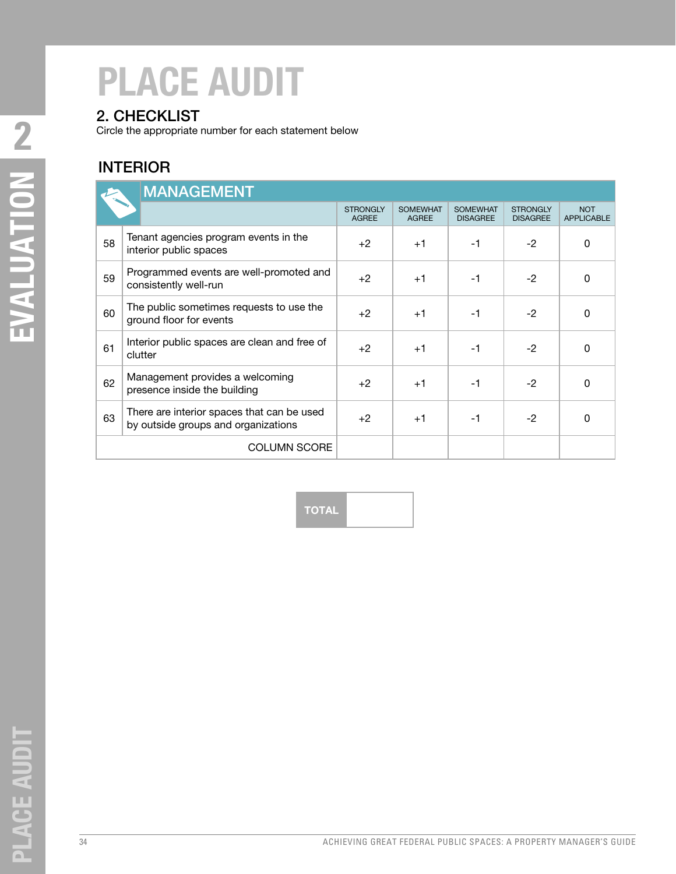#### 2. CHECKLIST

Circle the appropriate number for each statement below

#### INTERIOR

|    | <b>MANAGEMENT</b>                                                                 |                                 |                                 |                                    |                                    |                                 |
|----|-----------------------------------------------------------------------------------|---------------------------------|---------------------------------|------------------------------------|------------------------------------|---------------------------------|
|    |                                                                                   | <b>STRONGLY</b><br><b>AGREE</b> | <b>SOMEWHAT</b><br><b>AGREE</b> | <b>SOMEWHAT</b><br><b>DISAGREE</b> | <b>STRONGLY</b><br><b>DISAGREE</b> | <b>NOT</b><br><b>APPLICABLE</b> |
| 58 | Tenant agencies program events in the<br>interior public spaces                   | $+2$                            | $+1$                            | $-1$                               | $-2$                               | $\Omega$                        |
| 59 | Programmed events are well-promoted and<br>consistently well-run                  | $+2$                            | $+1$                            | $-1$                               | $-2$                               | $\Omega$                        |
| 60 | The public sometimes requests to use the<br>ground floor for events               | $+2$                            | $+1$                            | $-1$                               | $-2$                               | $\mathbf 0$                     |
| 61 | Interior public spaces are clean and free of<br>clutter                           | $+2$                            | $+1$                            | $-1$                               | $-2$                               | $\Omega$                        |
| 62 | Management provides a welcoming<br>presence inside the building                   | $+2$                            | $+1$                            | $-1$                               | $-2$                               | $\Omega$                        |
| 63 | There are interior spaces that can be used<br>by outside groups and organizations | $+2$                            | $+1$                            | $-1$                               | $-2$                               | $\Omega$                        |
|    | <b>COLUMN SCORE</b>                                                               |                                 |                                 |                                    |                                    |                                 |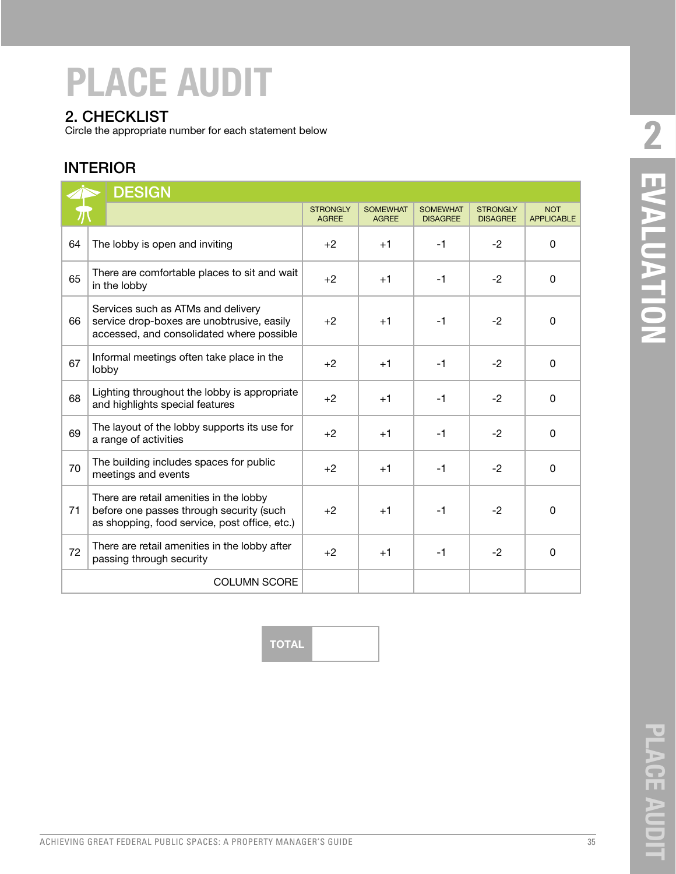#### 2. CHECKLIST

Circle the appropriate number for each statement below

#### INTERIOR

|    | <b>DESIGN</b>                                                                                                                        |                                 |                                 |                                    |                                    |                                 |  |  |
|----|--------------------------------------------------------------------------------------------------------------------------------------|---------------------------------|---------------------------------|------------------------------------|------------------------------------|---------------------------------|--|--|
|    |                                                                                                                                      | <b>STRONGLY</b><br><b>AGREE</b> | <b>SOMEWHAT</b><br><b>AGREE</b> | <b>SOMEWHAT</b><br><b>DISAGREE</b> | <b>STRONGLY</b><br><b>DISAGREE</b> | <b>NOT</b><br><b>APPLICABLE</b> |  |  |
| 64 | The lobby is open and inviting                                                                                                       | $+2$                            | $+1$                            | $-1$                               | $-2$                               | $\Omega$                        |  |  |
| 65 | There are comfortable places to sit and wait<br>in the lobby                                                                         | $+2$                            | $+1$                            | $-1$                               | $-2$                               | 0                               |  |  |
| 66 | Services such as ATMs and delivery<br>service drop-boxes are unobtrusive, easily<br>accessed, and consolidated where possible        | $+2$                            | $+1$                            | $-1$                               | $-2$                               | $\Omega$                        |  |  |
| 67 | Informal meetings often take place in the<br>lobby                                                                                   | $+2$                            | $+1$                            | $-1$                               | $-2$                               | $\Omega$                        |  |  |
| 68 | Lighting throughout the lobby is appropriate<br>and highlights special features                                                      | $+2$                            | $+1$                            | $-1$                               | $-2$                               | $\Omega$                        |  |  |
| 69 | The layout of the lobby supports its use for<br>a range of activities                                                                | $+2$                            | $+1$                            | $-1$                               | $-2$                               | 0                               |  |  |
| 70 | The building includes spaces for public<br>meetings and events                                                                       | $+2$                            | $+1$                            | $-1$                               | $-2$                               | $\Omega$                        |  |  |
| 71 | There are retail amenities in the lobby<br>before one passes through security (such<br>as shopping, food service, post office, etc.) | $+2$                            | $+1$                            | $-1$                               | $-2$                               | 0                               |  |  |
| 72 | There are retail amenities in the lobby after<br>passing through security                                                            | $+2$                            | $+1$                            | $-1$                               | $-2$                               | $\Omega$                        |  |  |
|    | <b>COLUMN SCORE</b>                                                                                                                  |                                 |                                 |                                    |                                    |                                 |  |  |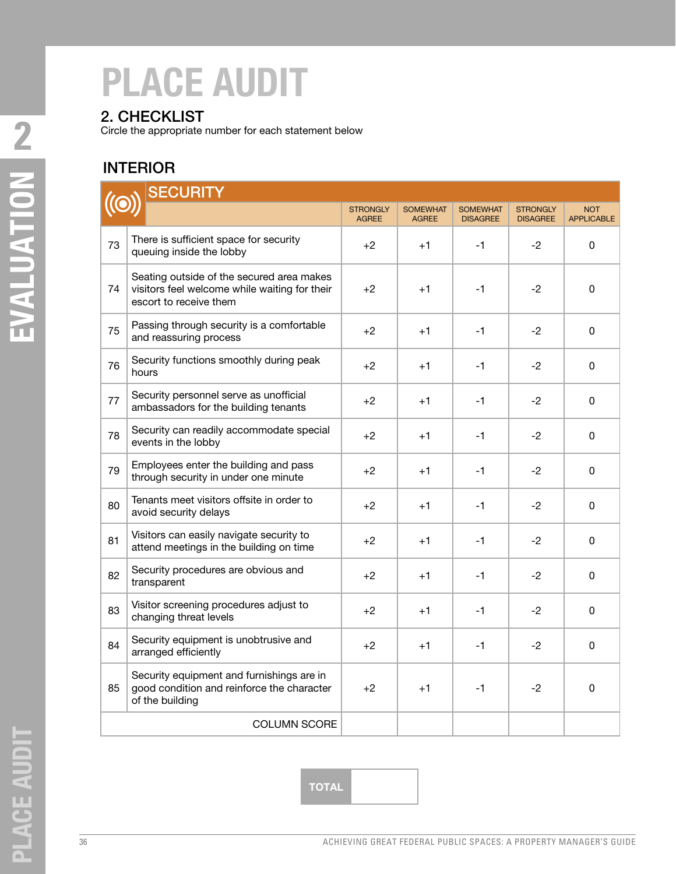### 2. CHECKLIST

Circle the appropriate number for each statement below

### INTERIOR

|    | <b>SECURITY</b>                                                                                                      |                                 |                                 |                                    |                                    |                                 |
|----|----------------------------------------------------------------------------------------------------------------------|---------------------------------|---------------------------------|------------------------------------|------------------------------------|---------------------------------|
|    |                                                                                                                      | <b>STRONGLY</b><br><b>AGREE</b> | <b>SOMEWHAT</b><br><b>AGREE</b> | <b>SOMEWHAT</b><br><b>DISAGREE</b> | <b>STRONGLY</b><br><b>DISAGREE</b> | <b>NOT</b><br><b>APPLICABLE</b> |
| 73 | There is sufficient space for security<br>queuing inside the lobby                                                   | $+2$                            | $+1$                            | $-1$                               | $-2$                               | $\pmb{0}$                       |
| 74 | Seating outside of the secured area makes<br>visitors feel welcome while waiting for their<br>escort to receive them | $+2$                            | $+1$                            | $-1$                               | $-2$                               | 0                               |
| 75 | Passing through security is a comfortable<br>and reassuring process                                                  | $+2$                            | $+1$                            | $-1$                               | $-2$                               | 0                               |
| 76 | Security functions smoothly during peak<br>hours                                                                     | $+2$                            | $+1$                            | $-1$                               | $-2$                               | 0                               |
| 77 | Security personnel serve as unofficial<br>ambassadors for the building tenants                                       | $+2$                            | $+1$                            | $-1$                               | $-2$                               | 0                               |
| 78 | Security can readily accommodate special<br>events in the lobby                                                      | $+2$                            | $+1$                            | $-1$                               | $-2$                               | 0                               |
| 79 | Employees enter the building and pass<br>through security in under one minute                                        | $+2$                            | $+1$                            | $-1$                               | $-2$                               | 0                               |
| 80 | Tenants meet visitors offsite in order to<br>avoid security delays                                                   | $+2$                            | $+1$                            | $-1$                               | -2                                 | 0                               |
| 81 | Visitors can easily navigate security to<br>attend meetings in the building on time                                  | $+2$                            | $+1$                            | $-1$                               | $-2$                               | 0                               |
| 82 | Security procedures are obvious and<br>transparent                                                                   | $+2$                            | $+1$                            | $-1$                               | $-2$                               | 0                               |
| 83 | Visitor screening procedures adjust to<br>changing threat levels                                                     | $+2$                            | $+1$                            | $-1$                               | $-2$                               | 0                               |
| 84 | Security equipment is unobtrusive and<br>arranged efficiently                                                        | +2                              | $+1$                            | $-1$                               | $-2$                               | 0                               |
| 85 | Security equipment and furnishings are in<br>good condition and reinforce the character<br>of the building           | $+2$                            | $+1$                            | $-1$                               | $-2$                               | $\mathbf 0$                     |
|    | <b>COLUMN SCORE</b>                                                                                                  |                                 |                                 |                                    |                                    |                                 |

EVALUATION N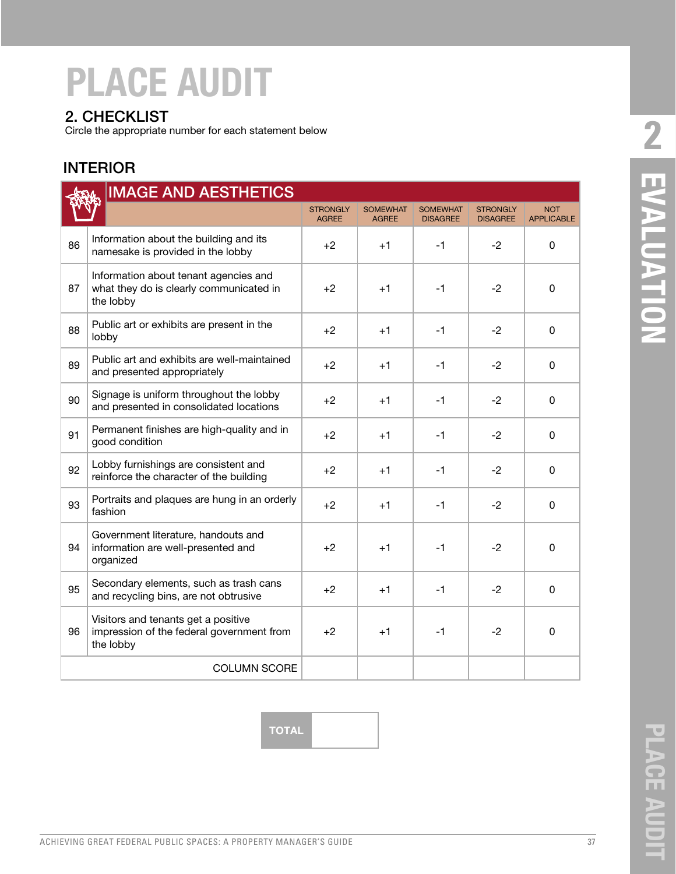#### 2. CHECKLIST

Circle the appropriate number for each statement below

#### INTERIOR

| <b>IMAGE AND AESTHETICS</b> |                                                                                               |                                 |                                 |                                    |                                    |                                 |
|-----------------------------|-----------------------------------------------------------------------------------------------|---------------------------------|---------------------------------|------------------------------------|------------------------------------|---------------------------------|
|                             |                                                                                               | <b>STRONGLY</b><br><b>AGREE</b> | <b>SOMEWHAT</b><br><b>AGREE</b> | <b>SOMEWHAT</b><br><b>DISAGREE</b> | <b>STRONGLY</b><br><b>DISAGREE</b> | <b>NOT</b><br><b>APPLICABLE</b> |
| 86                          | Information about the building and its<br>namesake is provided in the lobby                   | $+2$                            | $+1$                            | -1                                 | -2                                 | 0                               |
| 87                          | Information about tenant agencies and<br>what they do is clearly communicated in<br>the lobby | $+2$                            | $+1$                            | $-1$                               | $-2$                               | 0                               |
| 88                          | Public art or exhibits are present in the<br>lobby                                            | $+2$                            | $+1$                            | $-1$                               | $-2$                               | $\Omega$                        |
| 89                          | Public art and exhibits are well-maintained<br>and presented appropriately                    | $+2$                            | $+1$                            | -1                                 | $-2$                               | 0                               |
| 90                          | Signage is uniform throughout the lobby<br>and presented in consolidated locations            | $+2$                            | $+1$                            | $-1$                               | $-2$                               | $\Omega$                        |
| 91                          | Permanent finishes are high-quality and in<br>good condition                                  | $+2$                            | $+1$                            | $-1$                               | $-2$                               | $\Omega$                        |
| 92                          | Lobby furnishings are consistent and<br>reinforce the character of the building               | $+2$                            | $+1$                            | $-1$                               | $-2$                               | 0                               |
| 93                          | Portraits and plaques are hung in an orderly<br>fashion                                       | $+2$                            | $+1$                            | $-1$                               | $-2$                               | 0                               |
| 94                          | Government literature, handouts and<br>information are well-presented and<br>organized        | $+2$                            | $+1$                            | $-1$                               | $-2$                               | 0                               |
| 95                          | Secondary elements, such as trash cans<br>and recycling bins, are not obtrusive               | $+2$                            | $+1$                            | $-1$                               | $-2$                               | $\Omega$                        |
| 96                          | Visitors and tenants get a positive<br>impression of the federal government from<br>the lobby | $+2$                            | $+1$                            | $-1$                               | $-2$                               | 0                               |
|                             | <b>COLUMN SCORE</b>                                                                           |                                 |                                 |                                    |                                    |                                 |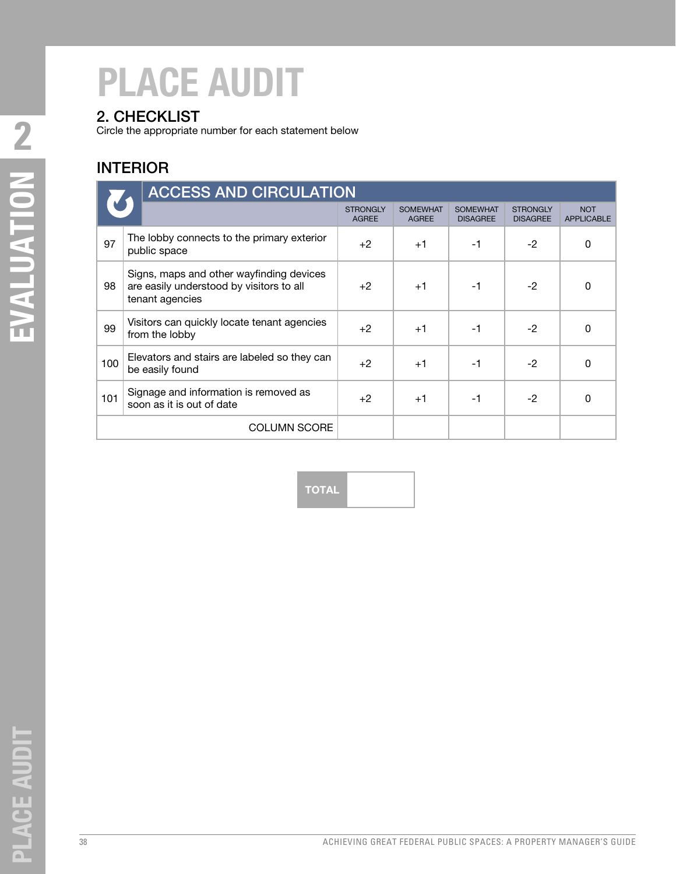### 2. CHECKLIST

Circle the appropriate number for each statement below

### INTERIOR

|     | <b>ACCESS AND CIRCULATION</b>                                                                           |                                 |                                 |                                    |                                    |                                 |  |  |
|-----|---------------------------------------------------------------------------------------------------------|---------------------------------|---------------------------------|------------------------------------|------------------------------------|---------------------------------|--|--|
|     |                                                                                                         | <b>STRONGLY</b><br><b>AGREE</b> | <b>SOMEWHAT</b><br><b>AGREE</b> | <b>SOMEWHAT</b><br><b>DISAGREE</b> | <b>STRONGLY</b><br><b>DISAGREE</b> | <b>NOT</b><br><b>APPLICABLE</b> |  |  |
| 97  | The lobby connects to the primary exterior<br>public space                                              | $+2$                            | $+1$                            | $-1$                               | $-2$                               | 0                               |  |  |
| 98  | Signs, maps and other wayfinding devices<br>are easily understood by visitors to all<br>tenant agencies | $+2$                            | $+1$                            | $-1$                               | $-2$                               | 0                               |  |  |
| 99  | Visitors can quickly locate tenant agencies<br>from the lobby                                           | $+2$                            | $+1$                            | $-1$                               | $-2$                               | $\Omega$                        |  |  |
| 100 | Elevators and stairs are labeled so they can<br>be easily found                                         | $+2$                            | $+1$                            | $-1$                               | $-2$                               | $\Omega$                        |  |  |
| 101 | Signage and information is removed as<br>soon as it is out of date                                      | $+2$                            | $+1$                            | $-1$                               | $-2$                               | $\Omega$                        |  |  |
|     | <b>COLUMN SCORE</b>                                                                                     |                                 |                                 |                                    |                                    |                                 |  |  |

**TOTAL**

**LACE AUDIT** 

 $\overline{\mathbf{a}}$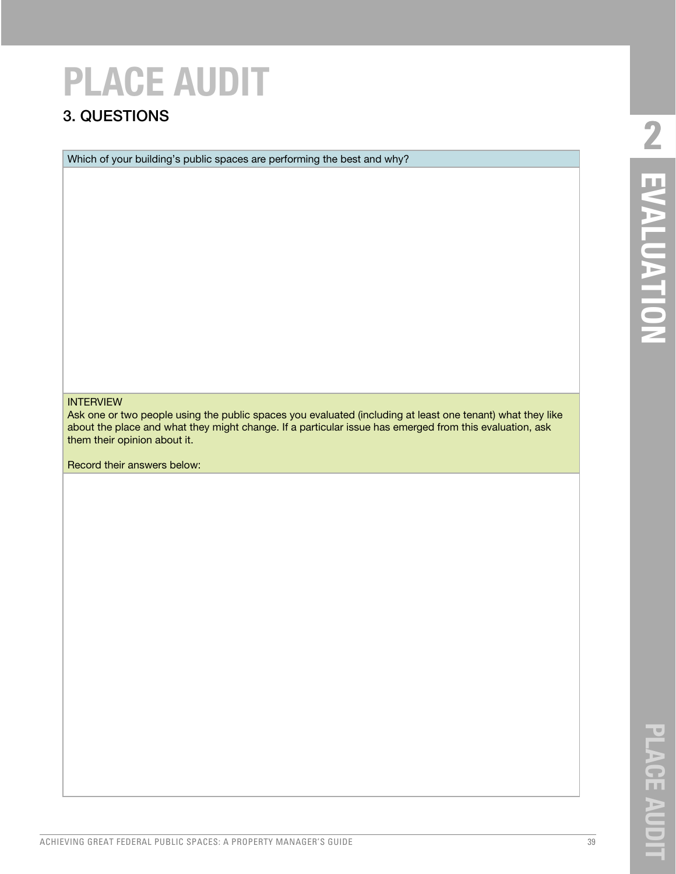### 3. QUESTIONS

Which of your building's public spaces are performing the best and why?

#### INTERVIEW

Ask one or two people using the public spaces you evaluated (including at least one tenant) what they like about the place and what they might change. If a particular issue has emerged from this evaluation, ask them their opinion about it.

Record their answers below:

ACHIEVING GREAT FEDERAL PUBLIC SPACES: A PROPERTY MANAGER'S GUIDE 39

**PLACE AUDIT**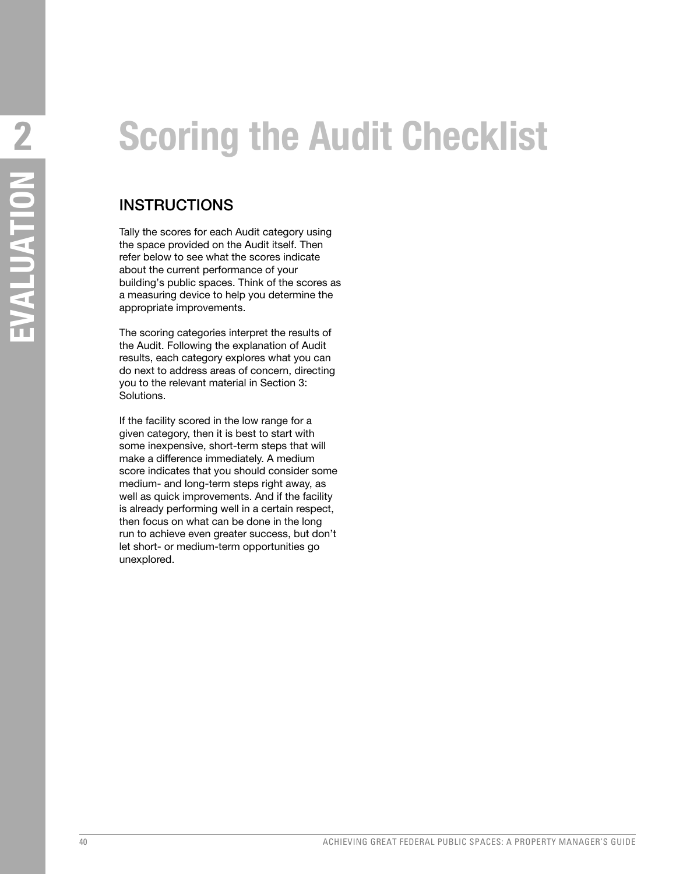### **Scoring the Audit Checklist**

#### **INSTRUCTIONS**

Tally the scores for each Audit category using the space provided on the Audit itself. Then refer below to see what the scores indicate about the current performance of your building's public spaces. Think of the scores as a measuring device to help you determine the appropriate improvements.

The scoring categories interpret the results of the Audit. Following the explanation of Audit results, each category explores what you can do next to address areas of concern, directing you to the relevant material in Section 3: Solutions.

If the facility scored in the low range for a given category, then it is best to start with some inexpensive, short-term steps that will make a difference immediately. A medium score indicates that you should consider some medium- and long-term steps right away, as well as quick improvements. And if the facility is already performing well in a certain respect, then focus on what can be done in the long run to achieve even greater success, but don't let short- or medium-term opportunities go unexplored.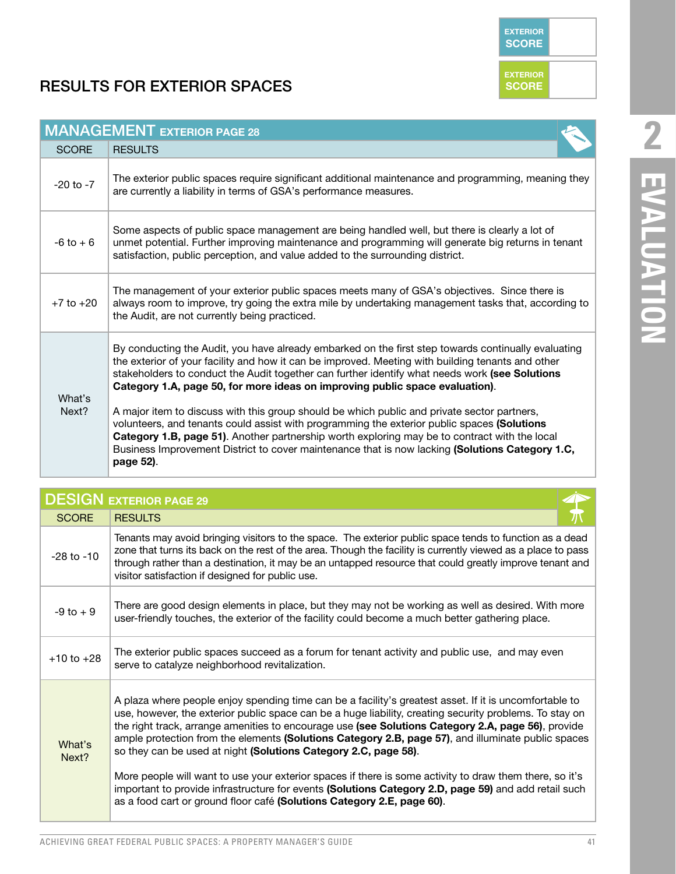**EXTERIOR SCORE**

**EXTERIOR SCORE**

### RESULTS FOR EXTERIOR SPACES

| <b>MANAGEMENT EXTERIOR PAGE 28</b> |                                                                                                                                                                                                                                                                                                                                                                                                                                                                                                                                                                                                                                                                                                                                                                                                           |  |  |  |  |
|------------------------------------|-----------------------------------------------------------------------------------------------------------------------------------------------------------------------------------------------------------------------------------------------------------------------------------------------------------------------------------------------------------------------------------------------------------------------------------------------------------------------------------------------------------------------------------------------------------------------------------------------------------------------------------------------------------------------------------------------------------------------------------------------------------------------------------------------------------|--|--|--|--|
| <b>SCORE</b>                       | <b>RESULTS</b>                                                                                                                                                                                                                                                                                                                                                                                                                                                                                                                                                                                                                                                                                                                                                                                            |  |  |  |  |
| $-20$ to $-7$                      | The exterior public spaces require significant additional maintenance and programming, meaning they<br>are currently a liability in terms of GSA's performance measures.                                                                                                                                                                                                                                                                                                                                                                                                                                                                                                                                                                                                                                  |  |  |  |  |
| $-6$ to $+6$                       | Some aspects of public space management are being handled well, but there is clearly a lot of<br>unmet potential. Further improving maintenance and programming will generate big returns in tenant<br>satisfaction, public perception, and value added to the surrounding district.                                                                                                                                                                                                                                                                                                                                                                                                                                                                                                                      |  |  |  |  |
| $+7$ to $+20$                      | The management of your exterior public spaces meets many of GSA's objectives. Since there is<br>always room to improve, try going the extra mile by undertaking management tasks that, according to<br>the Audit, are not currently being practiced.                                                                                                                                                                                                                                                                                                                                                                                                                                                                                                                                                      |  |  |  |  |
| What's<br>Next?                    | By conducting the Audit, you have already embarked on the first step towards continually evaluating<br>the exterior of your facility and how it can be improved. Meeting with building tenants and other<br>stakeholders to conduct the Audit together can further identify what needs work (see Solutions<br>Category 1.A, page 50, for more ideas on improving public space evaluation).<br>A major item to discuss with this group should be which public and private sector partners,<br>volunteers, and tenants could assist with programming the exterior public spaces (Solutions<br>Category 1.B, page 51). Another partnership worth exploring may be to contract with the local<br>Business Improvement District to cover maintenance that is now lacking (Solutions Category 1.C,<br>page 52). |  |  |  |  |

| <b>DESIGN EXTERIOR PAGE 29</b> |                                                                                                                                                                                                                                                                                                                                                                                                                                                                                                                                                                                                                                                                                                                                                                                               |  |  |  |
|--------------------------------|-----------------------------------------------------------------------------------------------------------------------------------------------------------------------------------------------------------------------------------------------------------------------------------------------------------------------------------------------------------------------------------------------------------------------------------------------------------------------------------------------------------------------------------------------------------------------------------------------------------------------------------------------------------------------------------------------------------------------------------------------------------------------------------------------|--|--|--|
| <b>SCORE</b>                   | <b>RESULTS</b>                                                                                                                                                                                                                                                                                                                                                                                                                                                                                                                                                                                                                                                                                                                                                                                |  |  |  |
| $-28$ to $-10$                 | Tenants may avoid bringing visitors to the space. The exterior public space tends to function as a dead<br>zone that turns its back on the rest of the area. Though the facility is currently viewed as a place to pass<br>through rather than a destination, it may be an untapped resource that could greatly improve tenant and<br>visitor satisfaction if designed for public use.                                                                                                                                                                                                                                                                                                                                                                                                        |  |  |  |
| $-9$ to $+9$                   | There are good design elements in place, but they may not be working as well as desired. With more<br>user-friendly touches, the exterior of the facility could become a much better gathering place.                                                                                                                                                                                                                                                                                                                                                                                                                                                                                                                                                                                         |  |  |  |
| $+10$ to $+28$                 | The exterior public spaces succeed as a forum for tenant activity and public use, and may even<br>serve to catalyze neighborhood revitalization.                                                                                                                                                                                                                                                                                                                                                                                                                                                                                                                                                                                                                                              |  |  |  |
| What's<br>Next?                | A plaza where people enjoy spending time can be a facility's greatest asset. If it is uncomfortable to<br>use, however, the exterior public space can be a huge liability, creating security problems. To stay on<br>the right track, arrange amenities to encourage use (see Solutions Category 2.A, page 56), provide<br>ample protection from the elements (Solutions Category 2.B, page 57), and illuminate public spaces<br>so they can be used at night (Solutions Category 2.C, page 58).<br>More people will want to use your exterior spaces if there is some activity to draw them there, so it's<br>important to provide infrastructure for events (Solutions Category 2.D, page 59) and add retail such<br>as a food cart or ground floor café (Solutions Category 2.E, page 60). |  |  |  |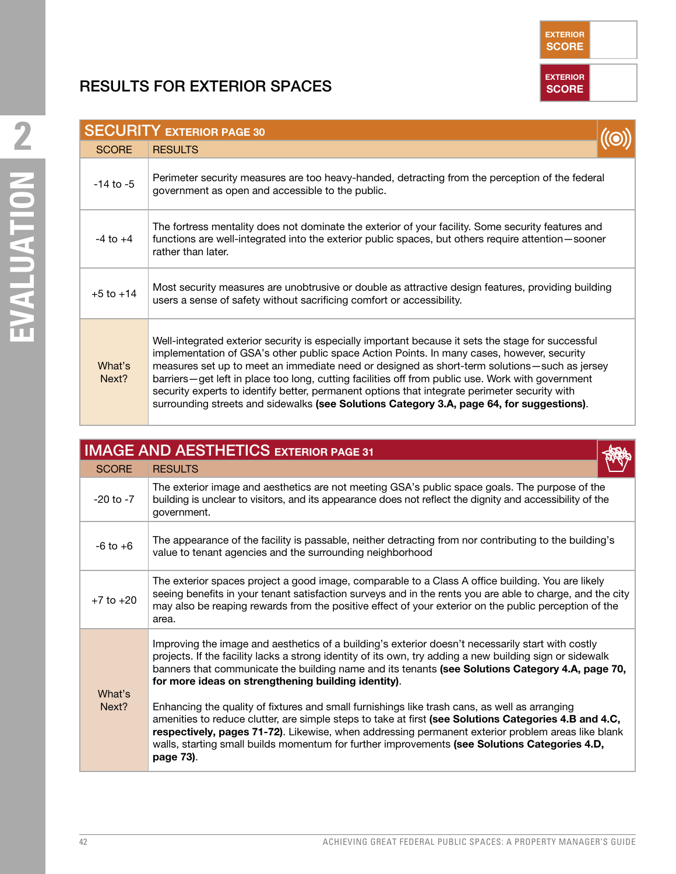### RESULTS FOR EXTERIOR SPACES

|                 | <b>SECURITY EXTERIOR PAGE 30</b>                                                                                                                                                                                                                                                                                                                                                                                                                                                                                                                                                                    |  |
|-----------------|-----------------------------------------------------------------------------------------------------------------------------------------------------------------------------------------------------------------------------------------------------------------------------------------------------------------------------------------------------------------------------------------------------------------------------------------------------------------------------------------------------------------------------------------------------------------------------------------------------|--|
| <b>SCORE</b>    | <b>RESULTS</b>                                                                                                                                                                                                                                                                                                                                                                                                                                                                                                                                                                                      |  |
| $-14$ to $-5$   | Perimeter security measures are too heavy-handed, detracting from the perception of the federal<br>government as open and accessible to the public.                                                                                                                                                                                                                                                                                                                                                                                                                                                 |  |
| $-4$ to $+4$    | The fortress mentality does not dominate the exterior of your facility. Some security features and<br>functions are well-integrated into the exterior public spaces, but others require attention-sooner<br>rather than later.                                                                                                                                                                                                                                                                                                                                                                      |  |
| $+5$ to $+14$   | Most security measures are unobtrusive or double as attractive design features, providing building<br>users a sense of safety without sacrificing comfort or accessibility.                                                                                                                                                                                                                                                                                                                                                                                                                         |  |
| What's<br>Next? | Well-integrated exterior security is especially important because it sets the stage for successful<br>implementation of GSA's other public space Action Points. In many cases, however, security<br>measures set up to meet an immediate need or designed as short-term solutions-such as jersey<br>barriers-get left in place too long, cutting facilities off from public use. Work with government<br>security experts to identify better, permanent options that integrate perimeter security with<br>surrounding streets and sidewalks (see Solutions Category 3.A, page 64, for suggestions). |  |

|                 | <b>IMAGE AND AESTHETICS EXTERIOR PAGE 31</b>                                                                                                                                                                                                                                                                                                                                                                                                                                                                                                                                                                                                                                                                                                                                                          |  |  |
|-----------------|-------------------------------------------------------------------------------------------------------------------------------------------------------------------------------------------------------------------------------------------------------------------------------------------------------------------------------------------------------------------------------------------------------------------------------------------------------------------------------------------------------------------------------------------------------------------------------------------------------------------------------------------------------------------------------------------------------------------------------------------------------------------------------------------------------|--|--|
| <b>SCORE</b>    | <b>RESULTS</b>                                                                                                                                                                                                                                                                                                                                                                                                                                                                                                                                                                                                                                                                                                                                                                                        |  |  |
| $-20$ to $-7$   | The exterior image and aesthetics are not meeting GSA's public space goals. The purpose of the<br>building is unclear to visitors, and its appearance does not reflect the dignity and accessibility of the<br>government.                                                                                                                                                                                                                                                                                                                                                                                                                                                                                                                                                                            |  |  |
| $-6$ to $+6$    | The appearance of the facility is passable, neither detracting from nor contributing to the building's<br>value to tenant agencies and the surrounding neighborhood                                                                                                                                                                                                                                                                                                                                                                                                                                                                                                                                                                                                                                   |  |  |
| $+7$ to $+20$   | The exterior spaces project a good image, comparable to a Class A office building. You are likely<br>seeing benefits in your tenant satisfaction surveys and in the rents you are able to charge, and the city<br>may also be reaping rewards from the positive effect of your exterior on the public perception of the<br>area.                                                                                                                                                                                                                                                                                                                                                                                                                                                                      |  |  |
| What's<br>Next? | Improving the image and aesthetics of a building's exterior doesn't necessarily start with costly<br>projects. If the facility lacks a strong identity of its own, try adding a new building sign or sidewalk<br>banners that communicate the building name and its tenants (see Solutions Category 4.A, page 70,<br>for more ideas on strengthening building identity).<br>Enhancing the quality of fixtures and small furnishings like trash cans, as well as arranging<br>amenities to reduce clutter, are simple steps to take at first (see Solutions Categories 4.B and 4.C,<br>respectively, pages 71-72). Likewise, when addressing permanent exterior problem areas like blank<br>walls, starting small builds momentum for further improvements (see Solutions Categories 4.D,<br>page 73). |  |  |

**EXTERIOR SCORE**

**EXTERIOR SCORE**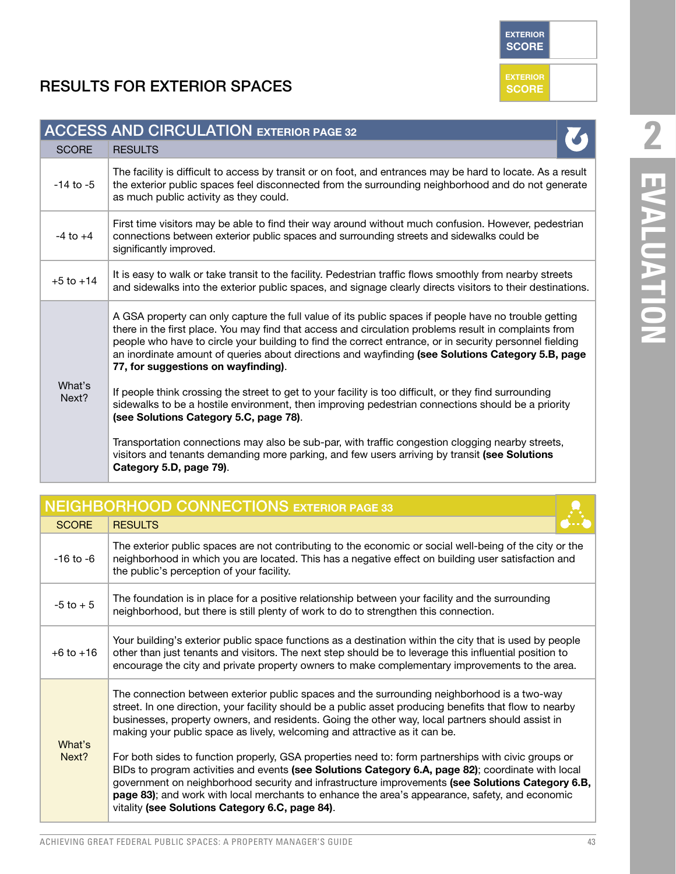**EXTERIOR SCORE**

**EXTERIOR SCORE**

### RESULTS FOR EXTERIOR SPACES

|                 | <b>ACCESS AND CIRCULATION EXTERIOR PAGE 32</b>                                                                                                                                                                                                                                                                                                                                                                                                                        |
|-----------------|-----------------------------------------------------------------------------------------------------------------------------------------------------------------------------------------------------------------------------------------------------------------------------------------------------------------------------------------------------------------------------------------------------------------------------------------------------------------------|
| <b>SCORE</b>    | <b>RESULTS</b>                                                                                                                                                                                                                                                                                                                                                                                                                                                        |
| $-14$ to $-5$   | The facility is difficult to access by transit or on foot, and entrances may be hard to locate. As a result<br>the exterior public spaces feel disconnected from the surrounding neighborhood and do not generate<br>as much public activity as they could.                                                                                                                                                                                                           |
| $-4$ to $+4$    | First time visitors may be able to find their way around without much confusion. However, pedestrian<br>connections between exterior public spaces and surrounding streets and sidewalks could be<br>significantly improved.                                                                                                                                                                                                                                          |
| $+5$ to $+14$   | It is easy to walk or take transit to the facility. Pedestrian traffic flows smoothly from nearby streets<br>and sidewalks into the exterior public spaces, and signage clearly directs visitors to their destinations.                                                                                                                                                                                                                                               |
|                 | A GSA property can only capture the full value of its public spaces if people have no trouble getting<br>there in the first place. You may find that access and circulation problems result in complaints from<br>people who have to circle your building to find the correct entrance, or in security personnel fielding<br>an inordinate amount of queries about directions and wayfinding (see Solutions Category 5.B, page<br>77, for suggestions on wayfinding). |
| What's<br>Next? | If people think crossing the street to get to your facility is too difficult, or they find surrounding<br>sidewalks to be a hostile environment, then improving pedestrian connections should be a priority<br>(see Solutions Category 5.C, page 78).                                                                                                                                                                                                                 |
|                 | Transportation connections may also be sub-par, with traffic congestion clogging nearby streets,<br>visitors and tenants demanding more parking, and few users arriving by transit (see Solutions<br>Category 5.D, page 79).                                                                                                                                                                                                                                          |

|                 | <b>NEIGHBORHOOD CONNECTIONS EXTERIOR PAGE 33</b>                                                                                                                                                                                                                                                                                                                                                                                                                                                                                                                                                                                                                                                                                                                                                                                                               |
|-----------------|----------------------------------------------------------------------------------------------------------------------------------------------------------------------------------------------------------------------------------------------------------------------------------------------------------------------------------------------------------------------------------------------------------------------------------------------------------------------------------------------------------------------------------------------------------------------------------------------------------------------------------------------------------------------------------------------------------------------------------------------------------------------------------------------------------------------------------------------------------------|
| <b>SCORE</b>    | <b>RESULTS</b>                                                                                                                                                                                                                                                                                                                                                                                                                                                                                                                                                                                                                                                                                                                                                                                                                                                 |
| $-16$ to $-6$   | The exterior public spaces are not contributing to the economic or social well-being of the city or the<br>neighborhood in which you are located. This has a negative effect on building user satisfaction and<br>the public's perception of your facility.                                                                                                                                                                                                                                                                                                                                                                                                                                                                                                                                                                                                    |
| $-5$ to $+5$    | The foundation is in place for a positive relationship between your facility and the surrounding<br>neighborhood, but there is still plenty of work to do to strengthen this connection.                                                                                                                                                                                                                                                                                                                                                                                                                                                                                                                                                                                                                                                                       |
| $+6$ to $+16$   | Your building's exterior public space functions as a destination within the city that is used by people<br>other than just tenants and visitors. The next step should be to leverage this influential position to<br>encourage the city and private property owners to make complementary improvements to the area.                                                                                                                                                                                                                                                                                                                                                                                                                                                                                                                                            |
| What's<br>Next? | The connection between exterior public spaces and the surrounding neighborhood is a two-way<br>street. In one direction, your facility should be a public asset producing benefits that flow to nearby<br>businesses, property owners, and residents. Going the other way, local partners should assist in<br>making your public space as lively, welcoming and attractive as it can be.<br>For both sides to function properly, GSA properties need to: form partnerships with civic groups or<br>BIDs to program activities and events (see Solutions Category 6.A, page 82); coordinate with local<br>government on neighborhood security and infrastructure improvements (see Solutions Category 6.B,<br>page 83); and work with local merchants to enhance the area's appearance, safety, and economic<br>vitality (see Solutions Category 6.C, page 84). |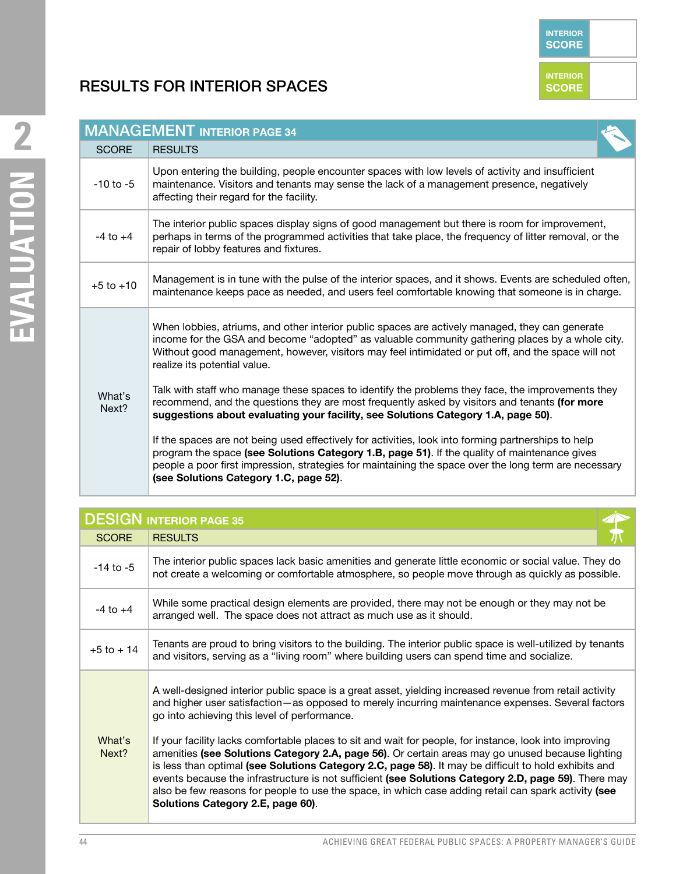#### RESULTS FOR INTERIOR SPACES



|                 | <b>DESIGN INTERIOR PAGE 35</b>                                                                                                                                                                                                                                                                                                                                                                                                                                                                                                                                                                                                                                                                                                                                                                                                           |  |
|-----------------|------------------------------------------------------------------------------------------------------------------------------------------------------------------------------------------------------------------------------------------------------------------------------------------------------------------------------------------------------------------------------------------------------------------------------------------------------------------------------------------------------------------------------------------------------------------------------------------------------------------------------------------------------------------------------------------------------------------------------------------------------------------------------------------------------------------------------------------|--|
| <b>SCORE</b>    | <b>RESULTS</b>                                                                                                                                                                                                                                                                                                                                                                                                                                                                                                                                                                                                                                                                                                                                                                                                                           |  |
| $-14$ to $-5$   | The interior public spaces lack basic amenities and generate little economic or social value. They do<br>not create a welcoming or comfortable atmosphere, so people move through as quickly as possible.                                                                                                                                                                                                                                                                                                                                                                                                                                                                                                                                                                                                                                |  |
| $-4$ to $+4$    | While some practical design elements are provided, there may not be enough or they may not be<br>arranged well. The space does not attract as much use as it should.                                                                                                                                                                                                                                                                                                                                                                                                                                                                                                                                                                                                                                                                     |  |
| $+5$ to $+14$   | Tenants are proud to bring visitors to the building. The interior public space is well-utilized by tenants<br>and visitors, serving as a "living room" where building users can spend time and socialize.                                                                                                                                                                                                                                                                                                                                                                                                                                                                                                                                                                                                                                |  |
| What's<br>Next? | A well-designed interior public space is a great asset, yielding increased revenue from retail activity<br>and higher user satisfaction—as opposed to merely incurring maintenance expenses. Several factors<br>go into achieving this level of performance.<br>If your facility lacks comfortable places to sit and wait for people, for instance, look into improving<br>amenities (see Solutions Category 2.A, page 56). Or certain areas may go unused because lighting<br>is less than optimal (see Solutions Category 2.C, page 58). It may be difficult to hold exhibits and<br>events because the infrastructure is not sufficient (see Solutions Category 2.D, page 59). There may<br>also be few reasons for people to use the space, in which case adding retail can spark activity (see<br>Solutions Category 2.E, page 60). |  |

**INTERIOR SCORE**

**INTERIOR SCORE**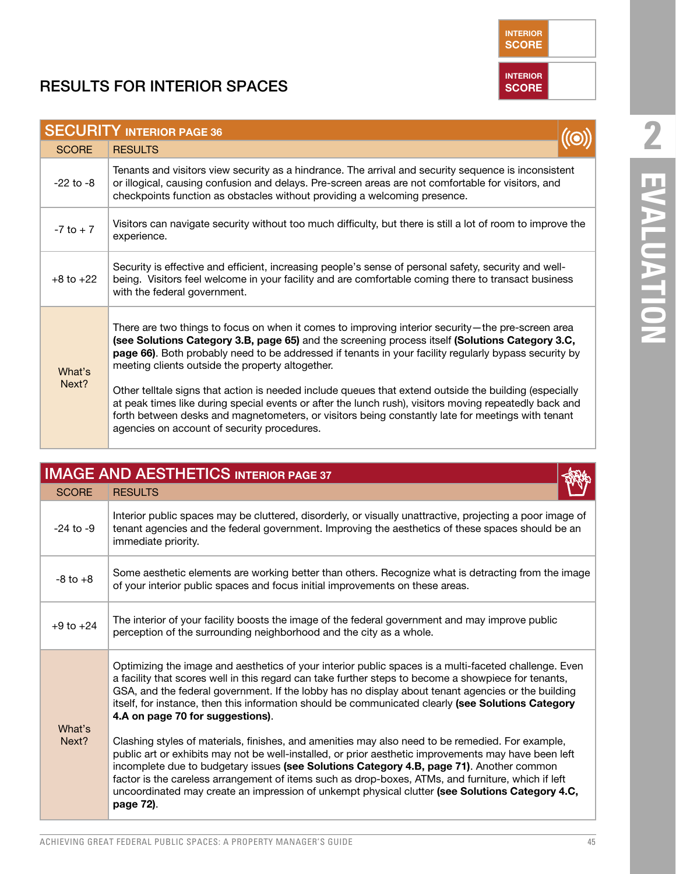### **RESULTS FOR INTERIOR SPACES**

|               | <b>SECURITY INTERIOR PAGE 36</b> |                                                                                                                                                                                                                                                                                                                                                                                                                                                                                                                                                                                                                                                                                                                                           |  |  |
|---------------|----------------------------------|-------------------------------------------------------------------------------------------------------------------------------------------------------------------------------------------------------------------------------------------------------------------------------------------------------------------------------------------------------------------------------------------------------------------------------------------------------------------------------------------------------------------------------------------------------------------------------------------------------------------------------------------------------------------------------------------------------------------------------------------|--|--|
|               | <b>SCORE</b>                     | <b>RESULTS</b>                                                                                                                                                                                                                                                                                                                                                                                                                                                                                                                                                                                                                                                                                                                            |  |  |
|               | $-22$ to $-8$                    | Tenants and visitors view security as a hindrance. The arrival and security sequence is inconsistent<br>or illogical, causing confusion and delays. Pre-screen areas are not comfortable for visitors, and<br>checkpoints function as obstacles without providing a welcoming presence.                                                                                                                                                                                                                                                                                                                                                                                                                                                   |  |  |
|               | $-7$ to $+7$                     | Visitors can navigate security without too much difficulty, but there is still a lot of room to improve the<br>experience.                                                                                                                                                                                                                                                                                                                                                                                                                                                                                                                                                                                                                |  |  |
| $+8$ to $+22$ |                                  | Security is effective and efficient, increasing people's sense of personal safety, security and well-<br>being. Visitors feel welcome in your facility and are comfortable coming there to transact business<br>with the federal government.                                                                                                                                                                                                                                                                                                                                                                                                                                                                                              |  |  |
|               | What's<br>Next?                  | There are two things to focus on when it comes to improving interior security—the pre-screen area<br>(see Solutions Category 3.B, page 65) and the screening process itself (Solutions Category 3.C,<br>page 66). Both probably need to be addressed if tenants in your facility regularly bypass security by<br>meeting clients outside the property altogether.<br>Other telltale signs that action is needed include queues that extend outside the building (especially<br>at peak times like during special events or after the lunch rush), visitors moving repeatedly back and<br>forth between desks and magnetometers, or visitors being constantly late for meetings with tenant<br>agencies on account of security procedures. |  |  |

|                 | <b>IMAGE AND AESTHETICS INTERIOR PAGE 37</b>                                                                                                                                                                                                                                                                                                                                                                                                                                                                                                                                                                                                                              |  |
|-----------------|---------------------------------------------------------------------------------------------------------------------------------------------------------------------------------------------------------------------------------------------------------------------------------------------------------------------------------------------------------------------------------------------------------------------------------------------------------------------------------------------------------------------------------------------------------------------------------------------------------------------------------------------------------------------------|--|
| <b>SCORE</b>    | <b>RESULTS</b>                                                                                                                                                                                                                                                                                                                                                                                                                                                                                                                                                                                                                                                            |  |
| $-24$ to $-9$   | Interior public spaces may be cluttered, disorderly, or visually unattractive, projecting a poor image of<br>tenant agencies and the federal government. Improving the aesthetics of these spaces should be an<br>immediate priority.                                                                                                                                                                                                                                                                                                                                                                                                                                     |  |
| $-8$ to $+8$    | Some aesthetic elements are working better than others. Recognize what is detracting from the image<br>of your interior public spaces and focus initial improvements on these areas.                                                                                                                                                                                                                                                                                                                                                                                                                                                                                      |  |
| $+9$ to $+24$   | The interior of your facility boosts the image of the federal government and may improve public<br>perception of the surrounding neighborhood and the city as a whole.                                                                                                                                                                                                                                                                                                                                                                                                                                                                                                    |  |
| What's<br>Next? | Optimizing the image and aesthetics of your interior public spaces is a multi-faceted challenge. Even<br>a facility that scores well in this regard can take further steps to become a showpiece for tenants,<br>GSA, and the federal government. If the lobby has no display about tenant agencies or the building<br>itself, for instance, then this information should be communicated clearly (see Solutions Category<br>4.A on page 70 for suggestions).<br>Clashing styles of materials, finishes, and amenities may also need to be remedied. For example,<br>public art or exhibits may not be well-installed, or prior aesthetic improvements may have been left |  |
|                 | incomplete due to budgetary issues (see Solutions Category 4.B, page 71). Another common<br>factor is the careless arrangement of items such as drop-boxes, ATMs, and furniture, which if left<br>uncoordinated may create an impression of unkempt physical clutter (see Solutions Category 4.C,<br>page 72).                                                                                                                                                                                                                                                                                                                                                            |  |

# **2** EVALUATION **EVALUATION**

**INTERIOR SCORE**

**INTERIOR**